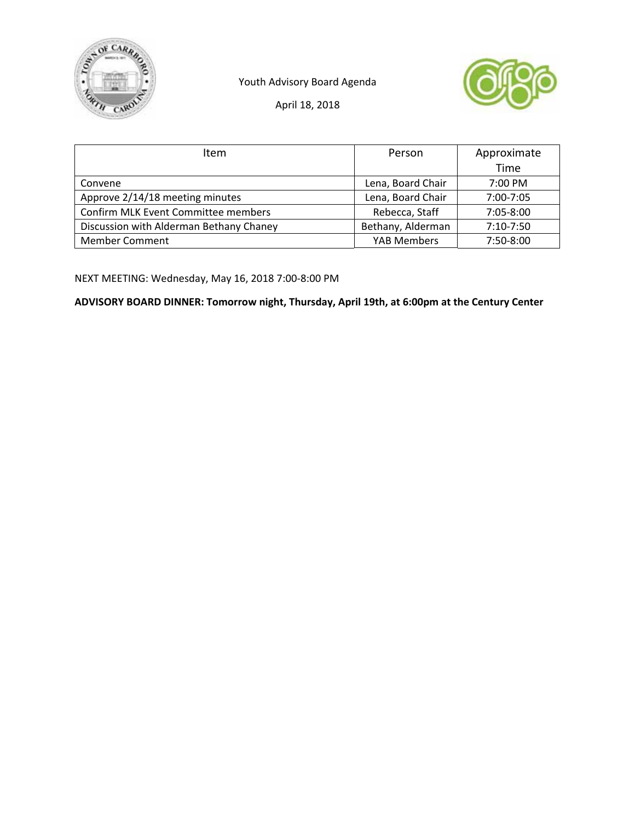

Youth Advisory Board Agenda



April 18, 2018

| <b>Item</b>                             | Person             | Approximate |
|-----------------------------------------|--------------------|-------------|
|                                         |                    | Time        |
| Convene                                 | Lena, Board Chair  | 7:00 PM     |
| Approve 2/14/18 meeting minutes         | Lena, Board Chair  | 7:00-7:05   |
| Confirm MLK Event Committee members     | Rebecca, Staff     | 7:05-8:00   |
| Discussion with Alderman Bethany Chaney | Bethany, Alderman  | $7:10-7:50$ |
| <b>Member Comment</b>                   | <b>YAB Members</b> | 7:50-8:00   |

NEXT MEETING: Wednesday, May 16, 2018 7:00‐8:00 PM

**ADVISORY BOARD DINNER: Tomorrow night, Thursday, April 19th, at 6:00pm at the Century Center**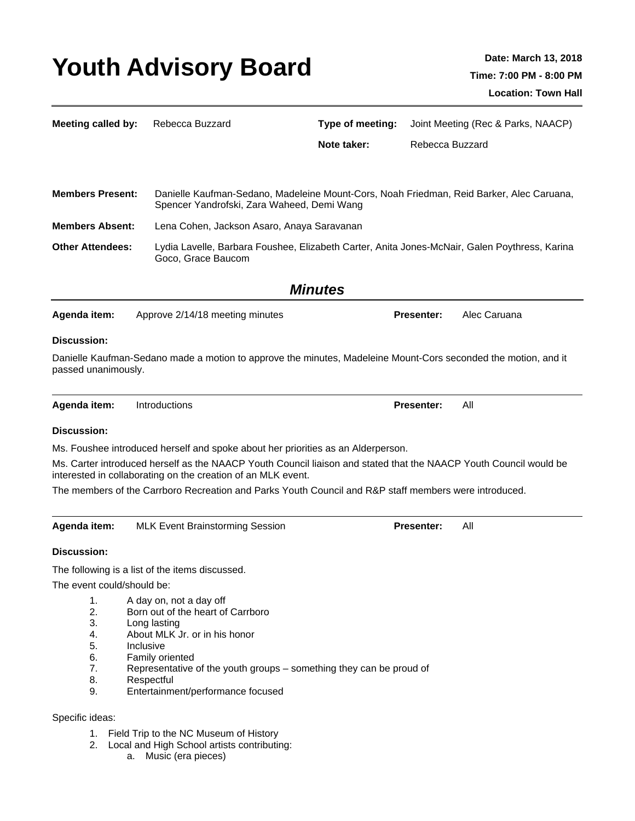## Youth Advisory Board Date: March 13, 2018

| <b>Meeting called by:</b>                          | Rebecca Buzzard                                                                                                                                                                                                                                                         | Type of meeting:                                                                              |                   | Joint Meeting (Rec & Parks, NAACP) |  |  |
|----------------------------------------------------|-------------------------------------------------------------------------------------------------------------------------------------------------------------------------------------------------------------------------------------------------------------------------|-----------------------------------------------------------------------------------------------|-------------------|------------------------------------|--|--|
|                                                    |                                                                                                                                                                                                                                                                         | Note taker:                                                                                   | Rebecca Buzzard   |                                    |  |  |
| <b>Members Present:</b>                            | Danielle Kaufman-Sedano, Madeleine Mount-Cors, Noah Friedman, Reid Barker, Alec Caruana,<br>Spencer Yandrofski, Zara Waheed, Demi Wang                                                                                                                                  |                                                                                               |                   |                                    |  |  |
| <b>Members Absent:</b>                             |                                                                                                                                                                                                                                                                         | Lena Cohen, Jackson Asaro, Anaya Saravanan                                                    |                   |                                    |  |  |
| <b>Other Attendees:</b>                            | Goco, Grace Baucom                                                                                                                                                                                                                                                      | Lydia Lavelle, Barbara Foushee, Elizabeth Carter, Anita Jones-McNair, Galen Poythress, Karina |                   |                                    |  |  |
| <b>Minutes</b>                                     |                                                                                                                                                                                                                                                                         |                                                                                               |                   |                                    |  |  |
| Agenda item:                                       | Approve 2/14/18 meeting minutes                                                                                                                                                                                                                                         |                                                                                               | <b>Presenter:</b> | Alec Caruana                       |  |  |
| <b>Discussion:</b>                                 |                                                                                                                                                                                                                                                                         |                                                                                               |                   |                                    |  |  |
| passed unanimously.                                | Danielle Kaufman-Sedano made a motion to approve the minutes, Madeleine Mount-Cors seconded the motion, and it                                                                                                                                                          |                                                                                               |                   |                                    |  |  |
| Agenda item:                                       | Introductions                                                                                                                                                                                                                                                           |                                                                                               | <b>Presenter:</b> | All                                |  |  |
| <b>Discussion:</b>                                 |                                                                                                                                                                                                                                                                         |                                                                                               |                   |                                    |  |  |
|                                                    | Ms. Foushee introduced herself and spoke about her priorities as an Alderperson.                                                                                                                                                                                        |                                                                                               |                   |                                    |  |  |
|                                                    | Ms. Carter introduced herself as the NAACP Youth Council liaison and stated that the NAACP Youth Council would be                                                                                                                                                       |                                                                                               |                   |                                    |  |  |
|                                                    | interested in collaborating on the creation of an MLK event.<br>The members of the Carrboro Recreation and Parks Youth Council and R&P staff members were introduced.                                                                                                   |                                                                                               |                   |                                    |  |  |
|                                                    |                                                                                                                                                                                                                                                                         |                                                                                               |                   |                                    |  |  |
| Agenda item:                                       | <b>MLK Event Brainstorming Session</b>                                                                                                                                                                                                                                  |                                                                                               | <b>Presenter:</b> | All                                |  |  |
| <b>Discussion:</b>                                 |                                                                                                                                                                                                                                                                         |                                                                                               |                   |                                    |  |  |
|                                                    | The following is a list of the items discussed.                                                                                                                                                                                                                         |                                                                                               |                   |                                    |  |  |
| The event could/should be:                         |                                                                                                                                                                                                                                                                         |                                                                                               |                   |                                    |  |  |
| 1.<br>2.<br>3.<br>4.<br>5.<br>6.<br>7.<br>8.<br>9. | A day on, not a day off<br>Born out of the heart of Carrboro<br>Long lasting<br>About MLK Jr. or in his honor<br>Inclusive<br>Family oriented<br>Representative of the youth groups - something they can be proud of<br>Respectful<br>Entertainment/performance focused |                                                                                               |                   |                                    |  |  |
| Specific ideas:                                    |                                                                                                                                                                                                                                                                         |                                                                                               |                   |                                    |  |  |
| 2.                                                 | 1. Field Trip to the NC Museum of History<br>Local and High School artists contributing:                                                                                                                                                                                |                                                                                               |                   |                                    |  |  |

a. Music (era pieces)